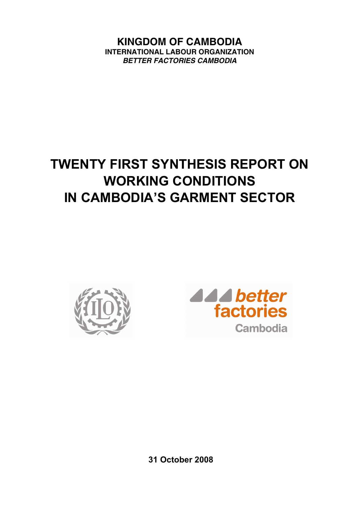**KINGDOM OF CAMBODIA INTERNATIONAL LABOUR ORGANIZATION**  *BETTER FACTORIES CAMBODIA* 

# **TWENTY FIRST SYNTHESIS REPORT ON WORKING CONDITIONS IN CAMBODIA'S GARMENT SECTOR**





**31 October 2008**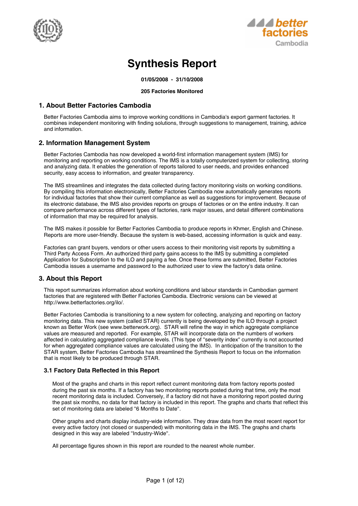



## **Synthesis Report**

**01/05/2008 - 31/10/2008**

#### **205 Factories Monitored**

## **1. About Better Factories Cambodia**

Better Factories Cambodia aims to improve working conditions in Cambodia's export garment factories. It combines independent monitoring with finding solutions, through suggestions to management, training, advice and information.

## **2. Information Management System**

Better Factories Cambodia has now developed a world-first information management system (IMS) for monitoring and reporting on working conditions. The IMS is a totally computerized system for collecting, storing and analyzing data. It enables the generation of reports tailored to user needs, and provides enhanced security, easy access to information, and greater transparency.

The IMS streamlines and integrates the data collected during factory monitoring visits on working conditions. By compiling this information electronically, Better Factories Cambodia now automatically generates reports for individual factories that show their current compliance as well as suggestions for improvement. Because of its electronic database, the IMS also provides reports on groups of factories or on the entire industry. It can compare performance across different types of factories, rank major issues, and detail different combinations of information that may be required for analysis.

The IMS makes it possible for Better Factories Cambodia to produce reports in Khmer, English and Chinese. Reports are more user-friendly. Because the system is web-based, accessing information is quick and easy.

Factories can grant buyers, vendors or other users access to their monitoring visit reports by submitting a Third Party Access Form. An authorized third party gains access to the IMS by submitting a completed Application for Subscription to the ILO and paying a fee. Once these forms are submitted, Better Factories Cambodia issues a username and password to the authorized user to view the factory's data online.

## **3. About this Report**

This report summarizes information about working conditions and labour standards in Cambodian garment factories that are registered with Better Factories Cambodia. Electronic versions can be viewed at http://www.betterfactories.org/ilo/.

Better Factories Cambodia is transitioning to a new system for collecting, analyzing and reporting on factory monitoring data. This new system (called STAR) currently is being developed by the ILO through a project known as Better Work (see www.betterwork.org). STAR will refine the way in which aggregate compliance values are measured and reported. For example, STAR will incorporate data on the numbers of workers affected in calculating aggregated compliance levels. (This type of ''severity index'' currently is not accounted for when aggregated compliance values are calculated using the IMS). In anticipation of the transition to the STAR system, Better Factories Cambodia has streamlined the Synthesis Report to focus on the information that is most likely to be produced through STAR.

## **3.1 Factory Data Reflected in this Report**

Most of the graphs and charts in this report reflect current monitoring data from factory reports posted during the past six months. If a factory has two monitoring reports posted during that time, only the most recent monitoring data is included. Conversely, if a factory did not have a monitoring report posted during the past six months, no data for that factory is included in this report. The graphs and charts that reflect this set of monitoring data are labeled ''6 Months to Date''.

Other graphs and charts display industry-wide information. They draw data from the most recent report for every active factory (not closed or suspended) with monitoring data in the IMS. The graphs and charts designed in this way are labeled ''Industry-Wide''.

All percentage figures shown in this report are rounded to the nearest whole number.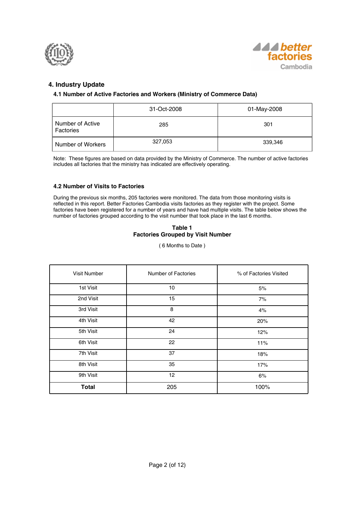



## **4. Industry Update**

## **4.1 Number of Active Factories and Workers (Ministry of Commerce Data)**

|                               | 31-Oct-2008 | 01-May-2008 |
|-------------------------------|-------------|-------------|
| Number of Active<br>Factories | 285         | 301         |
| Number of Workers             | 327,053     | 339,346     |

Note: These figures are based on data provided by the Ministry of Commerce. The number of active factories includes all factories that the ministry has indicated are effectively operating.

## **4.2 Number of Visits to Factories**

During the previous six months, 205 factories were monitored. The data from those monitoring visits is reflected in this report. Better Factories Cambodia visits factories as they register with the project. Some factories have been registered for a number of years and have had multiple visits. The table below shows the number of factories grouped according to the visit number that took place in the last 6 months.

## **Table 1 Factories Grouped by Visit Number**

( 6 Months to Date )

| <b>Visit Number</b> | Number of Factories | % of Factories Visited |
|---------------------|---------------------|------------------------|
| 1st Visit           | 10                  | 5%                     |
| 2nd Visit           | 15                  | 7%                     |
| 3rd Visit           | 8                   | 4%                     |
| 4th Visit           | 42                  | 20%                    |
| 5th Visit           | 24                  | 12%                    |
| 6th Visit           | 22                  | 11%                    |
| 7th Visit           | 37                  | 18%                    |
| 8th Visit           | 35                  | 17%                    |
| 9th Visit           | 12                  | 6%                     |
| <b>Total</b>        | 205                 | 100%                   |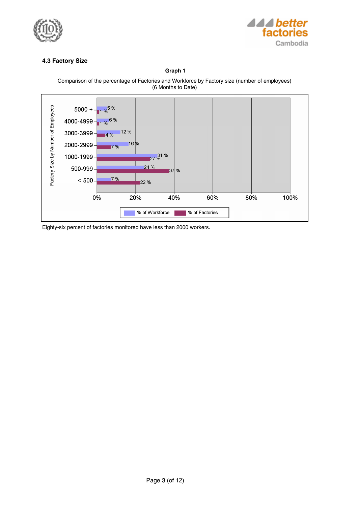



## **4.3 Factory Size**

**Graph 1**





Eighty-six percent of factories monitored have less than 2000 workers.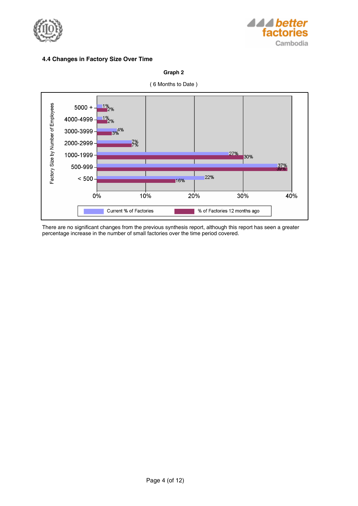



## **4.4 Changes in Factory Size Over Time**





There are no significant changes from the previous synthesis report, although this report has seen a greater percentage increase in the number of small factories over the time period covered.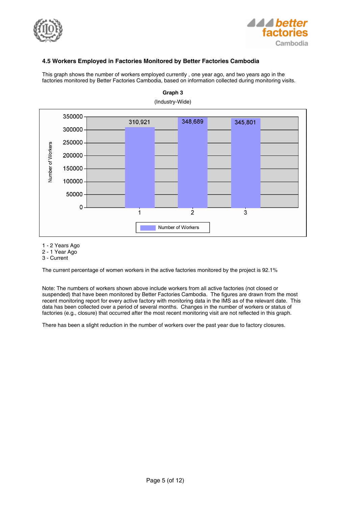



## **4.5 Workers Employed in Factories Monitored by Better Factories Cambodia**

This graph shows the number of workers employed currently , one year ago, and two years ago in the factories monitored by Better Factories Cambodia, based on information collected during monitoring visits.



**Graph 3**

1 - 2 Years Ago

2 - 1 Year Ago

3 - Current

The current percentage of women workers in the active factories monitored by the project is 92.1%

Note: The numbers of workers shown above include workers from all active factories (not closed or suspended) that have been monitored by Better Factories Cambodia. The figures are drawn from the most recent monitoring report for every active factory with monitoring data in the IMS as of the relevant date. This data has been collected over a period of several months. Changes in the number of workers or status of factories (e.g., closure) that occurred after the most recent monitoring visit are not reflected in this graph.

There has been a slight reduction in the number of workers over the past year due to factory closures.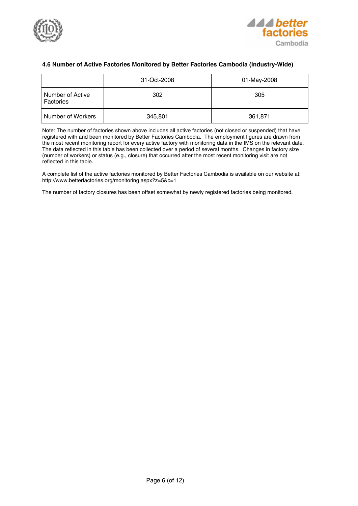



## **4.6 Number of Active Factories Monitored by Better Factories Cambodia (Industry-Wide)**

|                               | 31-Oct-2008 | 01-May-2008 |
|-------------------------------|-------------|-------------|
| Number of Active<br>Factories | 302         | 305         |
| Number of Workers             | 345,801     | 361,871     |

Note: The number of factories shown above includes all active factories (not closed or suspended) that have registered with and been monitored by Better Factories Cambodia. The employment figures are drawn from the most recent monitoring report for every active factory with monitoring data in the IMS on the relevant date. The data reflected in this table has been collected over a period of several months. Changes in factory size (number of workers) or status (e.g., closure) that occurred after the most recent monitoring visit are not reflected in this table.

A complete list of the active factories monitored by Better Factories Cambodia is available on our website at: http://www.betterfactories.org/monitoring.aspx?z=5&c=1

The number of factory closures has been offset somewhat by newly registered factories being monitored.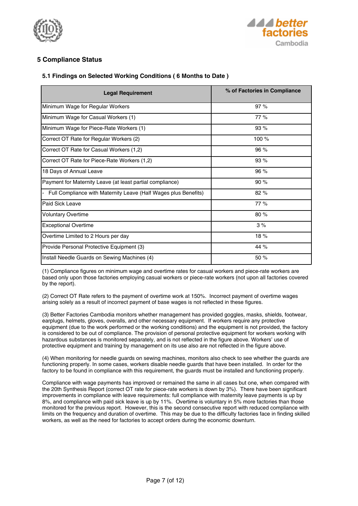



## **5 Compliance Status**

## **5.1 Findings on Selected Working Conditions ( 6 Months to Date )**

| <b>Legal Requirement</b>                                                          | % of Factories in Compliance |
|-----------------------------------------------------------------------------------|------------------------------|
| Minimum Wage for Regular Workers                                                  | 97%                          |
| Minimum Wage for Casual Workers (1)                                               | 77%                          |
| Minimum Wage for Piece-Rate Workers (1)                                           | 93%                          |
| Correct OT Rate for Regular Workers (2)                                           | 100 %                        |
| Correct OT Rate for Casual Workers (1,2)                                          | 96%                          |
| Correct OT Rate for Piece-Rate Workers (1,2)                                      | 93%                          |
| 18 Days of Annual Leave                                                           | 96 %                         |
| Payment for Maternity Leave (at least partial compliance)                         | 90%                          |
| Full Compliance with Maternity Leave (Half Wages plus Benefits)<br>$\overline{a}$ | 82%                          |
| l Paid Sick Leave                                                                 | 77%                          |
| <b>Voluntary Overtime</b>                                                         | 80 %                         |
| <b>Exceptional Overtime</b>                                                       | 3%                           |
| Overtime Limited to 2 Hours per day                                               | 18%                          |
| Provide Personal Protective Equipment (3)                                         | 44 %                         |
| Install Needle Guards on Sewing Machines (4)                                      | 50 %                         |

(1) Compliance figures on minimum wage and overtime rates for casual workers and piece-rate workers are based only upon those factories employing casual workers or piece-rate workers (not upon all factories covered by the report).

(2) Correct OT Rate refers to the payment of overtime work at 150%. Incorrect payment of overtime wages arising solely as a result of incorrect payment of base wages is not reflected in these figures.

(3) Better Factories Cambodia monitors whether management has provided goggles, masks, shields, footwear, earplugs, helmets, gloves, overalls, and other necessary equipment. If workers require any protective equipment (due to the work performed or the working conditions) and the equipment is not provided, the factory is considered to be out of compliance. The provision of personal protective equipment for workers working with hazardous substances is monitored separately, and is not reflected in the figure above. Workers' use of protective equipment and training by management on its use also are not reflected in the figure above.

(4) When monitoring for needle guards on sewing machines, monitors also check to see whether the guards are functioning properly. In some cases, workers disable needle guards that have been installed. In order for the factory to be found in compliance with this requirement, the guards must be installed and functioning properly.

Compliance with wage payments has improved or remained the same in all cases but one, when compared with the 20th Synthesis Report (correct OT rate for piece-rate workers is down by 3%). There have been significant improvements in compliance with leave requirements: full compliance with maternity leave payments is up by 8%, and compliance with paid sick leave is up by 11%. Overtime is voluntary in 5% more factories than those monitored for the previous report. However, this is the second consecutive report with reduced compliance with limits on the frequency and duration of overtime. This may be due to the difficulty factories face in finding skilled workers, as well as the need for factories to accept orders during the economic downturn.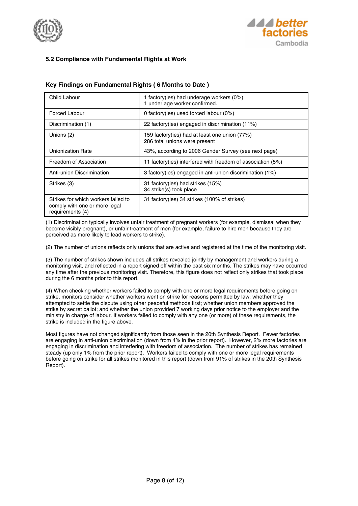



## **5.2 Compliance with Fundamental Rights at Work**

| Child Labour                                                                             | 1 factory (ies) had underage workers (0%)<br>1 under age worker confirmed.     |
|------------------------------------------------------------------------------------------|--------------------------------------------------------------------------------|
| Forced Labour                                                                            | 0 factory (ies) used forced labour $(0\%)$                                     |
| Discrimination (1)                                                                       | 22 factory(ies) engaged in discrimination (11%)                                |
| Unions (2)                                                                               | 159 factory(ies) had at least one union (77%)<br>286 total unions were present |
| Unionization Rate                                                                        | 43%, according to 2006 Gender Survey (see next page)                           |
| Freedom of Association                                                                   | 11 factory(ies) interfered with freedom of association (5%)                    |
| Anti-union Discrimination                                                                | 3 factory(ies) engaged in anti-union discrimination (1%)                       |
| Strikes (3)                                                                              | 31 factory (ies) had strikes (15%)<br>34 strike(s) took place                  |
| Strikes for which workers failed to<br>comply with one or more legal<br>requirements (4) | 31 factory (ies) 34 strikes (100% of strikes)                                  |

## **Key Findings on Fundamental Rights ( 6 Months to Date )**

(1) Discrimination typically involves unfair treatment of pregnant workers (for example, dismissal when they become visibly pregnant), or unfair treatment of men (for example, failure to hire men because they are perceived as more likely to lead workers to strike).

(2) The number of unions reflects only unions that are active and registered at the time of the monitoring visit.

(3) The number of strikes shown includes all strikes revealed jointly by management and workers during a monitoring visit, and reflected in a report signed off within the past six months. The strikes may have occurred any time after the previous monitoring visit. Therefore, this figure does not reflect only strikes that took place during the 6 months prior to this report.

(4) When checking whether workers failed to comply with one or more legal requirements before going on strike, monitors consider whether workers went on strike for reasons permitted by law; whether they attempted to settle the dispute using other peaceful methods first; whether union members approved the strike by secret ballot; and whether the union provided 7 working days prior notice to the employer and the ministry in charge of labour. If workers failed to comply with any one (or more) of these requirements, the strike is included in the figure above.

Most figures have not changed significantly from those seen in the 20th Synthesis Report. Fewer factories are engaging in anti-union discrimination (down from 4% in the prior report). However, 2% more factories are engaging in discrimination and interfering with freedom of association. The number of strikes has remained steady (up only 1% from the prior report). Workers failed to comply with one or more legal requirements before going on strike for all strikes monitored in this report (down from 91% of strikes in the 20th Synthesis Report).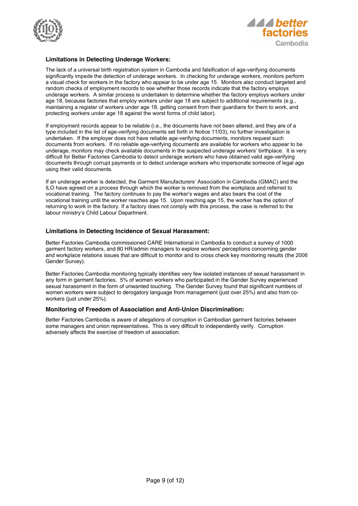



## **Limitations in Detecting Underage Workers:**

The lack of a universal birth registration system in Cambodia and falsification of age-verifying documents significantly impede the detection of underage workers. In checking for underage workers, monitors perform a visual check for workers in the factory who appear to be under age 15. Monitors also conduct targeted and random checks of employment records to see whether those records indicate that the factory employs underage workers. A similar process is undertaken to determine whether the factory employs workers under age 18, because factories that employ workers under age 18 are subject to additional requirements (e.g., maintaining a register of workers under age 18, getting consent from their guardians for them to work, and protecting workers under age 18 against the worst forms of child labor).

If employment records appear to be reliable (i.e., the documents have not been altered, and they are of a type included in the list of age-verifying documents set forth in Notice 11/03), no further investigation is undertaken. If the employer does not have reliable age-verifying documents, monitors request such documents from workers. If no reliable age-verifying documents are available for workers who appear to be underage, monitors may check available documents in the suspected underage workers' birthplace. It is very difficult for Better Factories Cambodia to detect underage workers who have obtained valid age-verifying documents through corrupt payments or to detect underage workers who impersonate someone of legal age using their valid documents.

If an underage worker is detected, the Garment Manufacturers' Association in Cambodia (GMAC) and the ILO have agreed on a process through which the worker is removed from the workplace and referred to vocational training. The factory continues to pay the worker's wages and also bears the cost of the vocational training until the worker reaches age 15. Upon reaching age 15, the worker has the option of returning to work in the factory. If a factory does not comply with this process, the case is referred to the labour ministry's Child Labour Department.

## **Limitations in Detecting Incidence of Sexual Harassment:**

Better Factories Cambodia commissioned CARE International in Cambodia to conduct a survey of 1000 garment factory workers, and 80 HR/admin managers to explore workers' perceptions concerning gender and workplace relations issues that are difficult to monitor and to cross check key monitoring results (the 2006 Gender Survey).

Better Factories Cambodia monitoring typically identifies very few isolated instances of sexual harassment in any form in garment factories. 5% of women workers who participated in the Gender Survey experienced sexual harassment in the form of unwanted touching. The Gender Survey found that significant numbers of women workers were subject to derogatory language from management (just over 25%) and also from coworkers (just under 25%).

## **Monitoring of Freedom of Association and Anti-Union Discrimination:**

Better Factories Cambodia is aware of allegations of corruption in Cambodian garment factories between some managers and union representatives. This is very difficult to independently verify. Corruption adversely affects the exercise of freedom of association.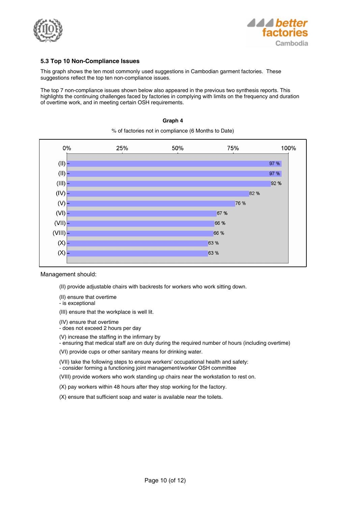



## **5.3 Top 10 Non-Compliance Issues**

This graph shows the ten most commonly used suggestions in Cambodian garment factories. These suggestions reflect the top ten non-compliance issues.

The top 7 non-compliance issues shown below also appeared in the previous two synthesis reports. This highlights the continuing challenges faced by factories in complying with limits on the frequency and duration of overtime work, and in meeting certain OSH requirements.

#### **Graph 4**

% of factories not in compliance (6 Months to Date)



#### Management should:

- (II) provide adjustable chairs with backrests for workers who work sitting down.
- (II) ensure that overtime
- is exceptional
- (III) ensure that the workplace is well lit.
- (IV) ensure that overtime
- does not exceed 2 hours per day

(V) increase the staffing in the infirmary by

- ensuring that medical staff are on duty during the required number of hours (including overtime)

(VI) provide cups or other sanitary means for drinking water.

(VII) take the following steps to ensure workers' occupational health and safety: - consider forming a functioning joint management/worker OSH committee

(VIII) provide workers who work standing up chairs near the workstation to rest on.

(X) pay workers within 48 hours after they stop working for the factory.

(X) ensure that sufficient soap and water is available near the toilets.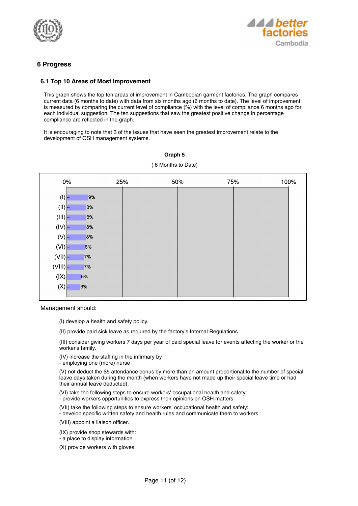



## **6 Progress**

## **6.1 Top 10 Areas of Most Improvement**

This graph shows the top ten areas of improvement in Cambodian garment factories. The graph compares current data (6 months to date) with data from six months ago (6 months to date). The level of improvement is measured by comparing the current level of compliance (%) with the level of compliance 6 months ago for each individual suggestion. The ten suggestions that saw the greatest positive change in percentage compliance are reflected in the graph.

It is encouraging to note that 3 of the issues that have seen the greatest improvement relate to the development of OSH management systems.

| $0\%$              | 25% | 75%<br>50% | 100% |
|--------------------|-----|------------|------|
| $\left( 0 \right)$ | 9%  |            |      |
| (11)               | 8%  |            |      |
| (III)              | 8%  |            |      |
| (IV)               | 8%  |            |      |
| (N)                | 8%  |            |      |
| (VI)               | 8%  |            |      |
| (VII)              | 7%  |            |      |
| (VIII)             | 7%  |            |      |
| $( X\rangle)$      | 6%  |            |      |
| (X)                | 6%  |            |      |

## **Graph 5** ( 6 Months to Date)

Management should:

(I) develop a health and safety policy.

(II) provide paid sick leave as required by the factory's Internal Regulations.

(III) consider giving workers 7 days per year of paid special leave for events affecting the worker or the worker's family.

(IV) increase the staffing in the infirmary by

- employing one (more) nurse

(V) not deduct the \$5 attendance bonus by more than an amount proportional to the number of special leave days taken during the month (when workers have not made up their special leave time or had their annual leave deducted).

(VI) take the following steps to ensure workers' occupational health and safety: - provide workers opportunities to express their opinions on OSH matters

(VII) take the following steps to ensure workers' occupational health and safety:

- develop specific written safety and health rules and communicate them to workers

(VIII) appoint a liaison officer.

(IX) provide shop stewards with:

- a place to display information

(X) provide workers with gloves.